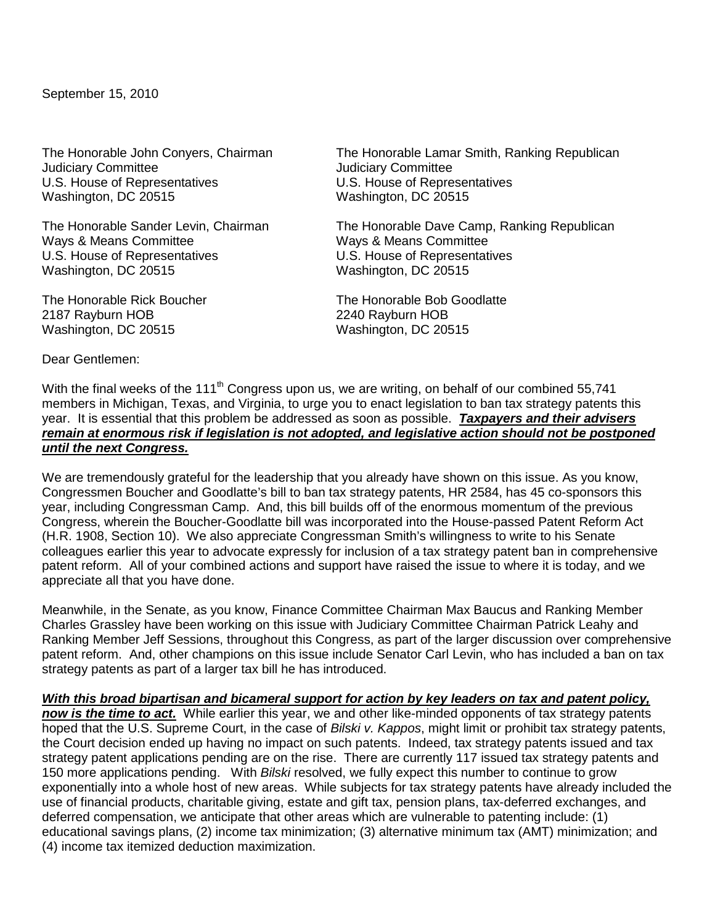September 15, 2010

Judiciary Committee<br>U.S. House of Representatives Washington, DC 20515

Ways & Means Committee Ways & Means Committee U.S. House of Representatives U.S. House of Representatives Washington, DC 20515 Washington, DC 20515

2187 Rayburn HOB 2240 Rayburn HOB Washington, DC 20515 Washington, DC 20515

The Honorable John Conyers, Chairman The Honorable Lamar Smith, Ranking Republican<br>Judiciary Committee The Honorable Committee U.S. House of Representatives<br>Washington, DC 20515

The Honorable Sander Levin, Chairman The Honorable Dave Camp, Ranking Republican

The Honorable Rick Boucher The Honorable Bob Goodlatte

Dear Gentlemen:

With the final weeks of the 111<sup>th</sup> Congress upon us, we are writing, on behalf of our combined 55,741 members in Michigan, Texas, and Virginia, to urge you to enact legislation to ban tax strategy patents this year. It is essential that this problem be addressed as soon as possible. *Taxpayers and their advisers remain at enormous risk if legislation is not adopted, and legislative action should not be postponed until the next Congress.*

We are tremendously grateful for the leadership that you already have shown on this issue. As you know, Congressmen Boucher and Goodlatte's bill to ban tax strategy patents, HR 2584, has 45 co-sponsors this year, including Congressman Camp. And, this bill builds off of the enormous momentum of the previous Congress, wherein the Boucher-Goodlatte bill was incorporated into the House-passed Patent Reform Act (H.R. 1908, Section 10). We also appreciate Congressman Smith's willingness to write to his Senate colleagues earlier this year to advocate expressly for inclusion of a tax strategy patent ban in comprehensive patent reform. All of your combined actions and support have raised the issue to where it is today, and we appreciate all that you have done.

Meanwhile, in the Senate, as you know, Finance Committee Chairman Max Baucus and Ranking Member Charles Grassley have been working on this issue with Judiciary Committee Chairman Patrick Leahy and Ranking Member Jeff Sessions, throughout this Congress, as part of the larger discussion over comprehensive patent reform. And, other champions on this issue include Senator Carl Levin, who has included a ban on tax strategy patents as part of a larger tax bill he has introduced.

*With this broad bipartisan and bicameral support for action by key leaders on tax and patent policy,* 

*now is the time to act.* While earlier this year, we and other like-minded opponents of tax strategy patents hoped that the U.S. Supreme Court, in the case of *Bilski v. Kappos*, might limit or prohibit tax strategy patents, the Court decision ended up having no impact on such patents. Indeed, tax strategy patents issued and tax strategy patent applications pending are on the rise. There are currently 117 issued tax strategy patents and 150 more applications pending. With *Bilski* resolved, we fully expect this number to continue to grow exponentially into a whole host of new areas. While subjects for tax strategy patents have already included the use of financial products, charitable giving, estate and gift tax, pension plans, tax-deferred exchanges, and deferred compensation, we anticipate that other areas which are vulnerable to patenting include: (1) educational savings plans, (2) income tax minimization; (3) alternative minimum tax (AMT) minimization; and (4) income tax itemized deduction maximization.